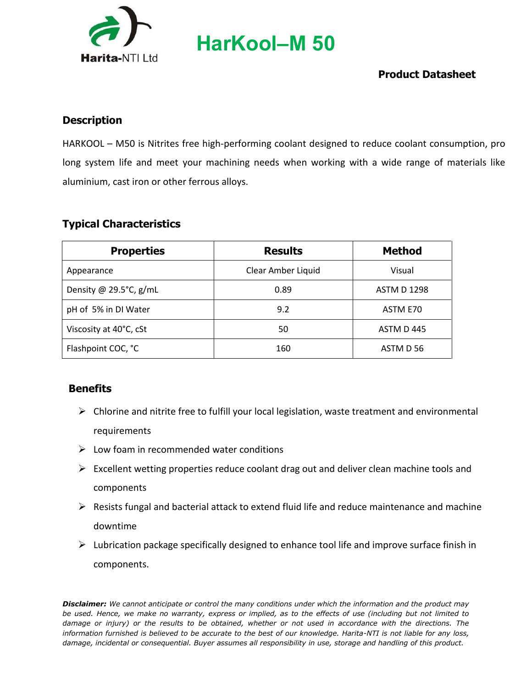

**HarKool–M 50**

### **Product Datasheet**

#### **Description**

HARKOOL – M50 is Nitrites free high-performing coolant designed to reduce coolant consumption, pro long system life and meet your machining needs when working with a wide range of materials like aluminium, cast iron or other ferrous alloys.

#### **Typical Characteristics**

| <b>Properties</b>      | <b>Results</b>     | <b>Method</b>      |
|------------------------|--------------------|--------------------|
| Appearance             | Clear Amber Liquid | Visual             |
| Density @ 29.5°C, g/mL | 0.89               | <b>ASTM D 1298</b> |
| pH of 5% in DI Water   | 9.2                | ASTM E70           |
| Viscosity at 40°C, cSt | 50                 | ASTM D445          |
| Flashpoint COC, °C     | 160                | ASTM D 56          |

#### **Benefits**

- $\triangleright$  Chlorine and nitrite free to fulfill your local legislation, waste treatment and environmental requirements
- $\triangleright$  Low foam in recommended water conditions
- $\triangleright$  Excellent wetting properties reduce coolant drag out and deliver clean machine tools and components
- $\triangleright$  Resists fungal and bacterial attack to extend fluid life and reduce maintenance and machine downtime
- $\triangleright$  Lubrication package specifically designed to enhance tool life and improve surface finish in components.

*Disclaimer: We cannot anticipate or control the many conditions under which the information and the product may be used. Hence, we make no warranty, express or implied, as to the effects of use (including but not limited to damage or injury) or the results to be obtained, whether or not used in accordance with the directions. The information furnished is believed to be accurate to the best of our knowledge. Harita-NTI is not liable for any loss, damage, incidental or consequential. Buyer assumes all responsibility in use, storage and handling of this product.*